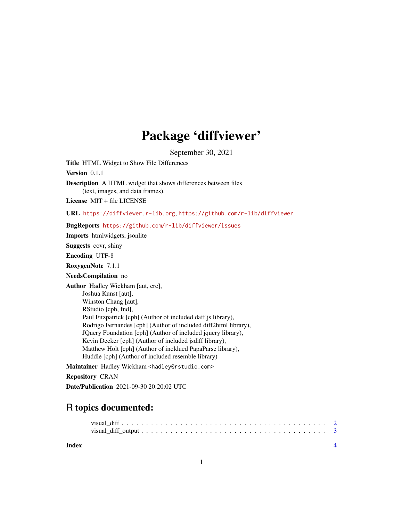## Package 'diffviewer'

September 30, 2021

Title HTML Widget to Show File Differences

Version 0.1.1

Description A HTML widget that shows differences between files (text, images, and data frames).

License MIT + file LICENSE

URL <https://diffviewer.r-lib.org>, <https://github.com/r-lib/diffviewer>

BugReports <https://github.com/r-lib/diffviewer/issues>

Imports htmlwidgets, jsonlite

Suggests covr, shiny

Encoding UTF-8

RoxygenNote 7.1.1

NeedsCompilation no

Author Hadley Wickham [aut, cre], Joshua Kunst [aut], Winston Chang [aut], RStudio [cph, fnd], Paul Fitzpatrick [cph] (Author of included daff.js library), Rodrigo Fernandes [cph] (Author of included diff2html library), JQuery Foundation [cph] (Author of included jquery library), Kevin Decker [cph] (Author of included jsdiff library), Matthew Holt [cph] (Author of incldued PapaParse library), Huddle [cph] (Author of included resemble library)

Maintainer Hadley Wickham <hadley@rstudio.com>

```
Repository CRAN
```
Date/Publication 2021-09-30 20:20:02 UTC

### R topics documented:

#### **Index** [4](#page-3-0)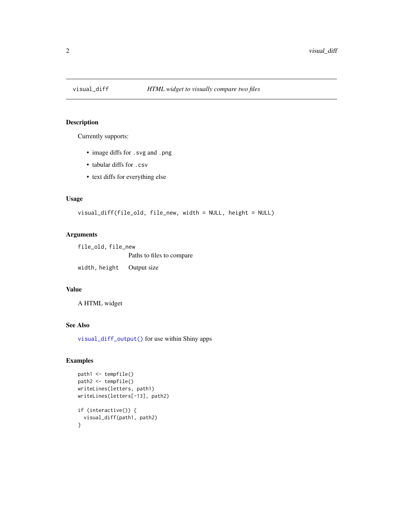<span id="page-1-0"></span>

#### Description

Currently supports:

- image diffs for .svg and .png
- tabular diffs for .csv
- text diffs for everything else

#### Usage

```
visual_diff(file_old, file_new, width = NULL, height = NULL)
```
#### Arguments

| file_old, file_new        |                           |  |  |  |  |  |  |
|---------------------------|---------------------------|--|--|--|--|--|--|
|                           | Paths to files to compare |  |  |  |  |  |  |
| width, height Output size |                           |  |  |  |  |  |  |

#### Value

A HTML widget

#### See Also

[visual\\_diff\\_output\(\)](#page-2-1) for use within Shiny apps

#### Examples

```
path1 <- tempfile()
path2 <- tempfile()
writeLines(letters, path1)
writeLines(letters[-13], path2)
if (interactive()) {
  visual_diff(path1, path2)
}
```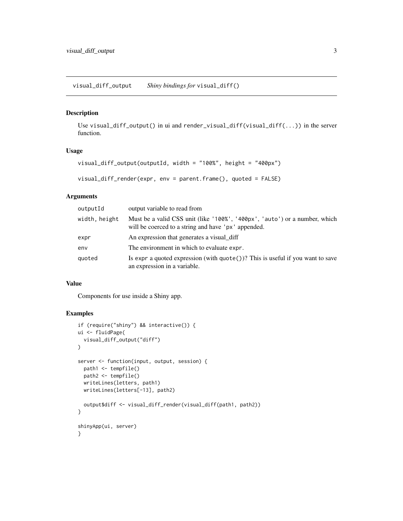<span id="page-2-1"></span><span id="page-2-0"></span>visual\_diff\_output *Shiny bindings for* visual\_diff()

#### Description

Use visual\_diff\_output() in ui and render\_visual\_diff(visual\_diff(...)) in the server function.

#### Usage

```
visual_diff_output(outputId, width = "100%", height = "400px")
```

```
visual_diff_render(expr, env = parent.frame(), quoted = FALSE)
```
#### Arguments

| output variable to read from                                                                                                      |
|-----------------------------------------------------------------------------------------------------------------------------------|
| Must be a valid CSS unit (like '100%', '400px', 'auto') or a number, which<br>will be coerced to a string and have 'px' appended. |
| An expression that generates a visual diff                                                                                        |
| The environment in which to evaluate expr.                                                                                        |
| Is expr a quoted expression (with $\text{quote}()$ )? This is useful if you want to save<br>an expression in a variable.          |
|                                                                                                                                   |

#### Value

Components for use inside a Shiny app.

#### Examples

```
if (require("shiny") && interactive()) {
ui <- fluidPage(
  visual_diff_output("diff")
\mathcal{L}server <- function(input, output, session) {
  path1 <- tempfile()
  path2 <- tempfile()
  writeLines(letters, path1)
  writeLines(letters[-13], path2)
  output$diff <- visual_diff_render(visual_diff(path1, path2))
}
shinyApp(ui, server)
}
```